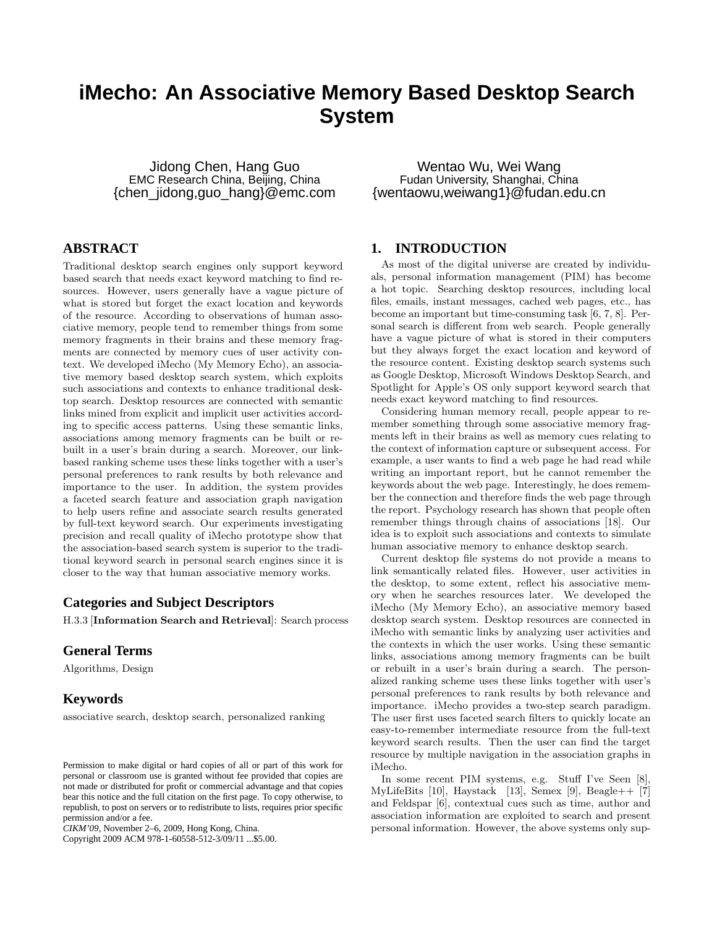# **iMecho: An Associative Memory Based Desktop Search System**

Jidong Chen, Hang Guo EMC Research China, Beijing, China {chen\_jidong,guo\_hang}@emc.com

# **ABSTRACT**

Traditional desktop search engines only support keyword based search that needs exact keyword matching to find resources. However, users generally have a vague picture of what is stored but forget the exact location and keywords of the resource. According to observations of human associative memory, people tend to remember things from some memory fragments in their brains and these memory fragments are connected by memory cues of user activity context. We developed iMecho (My Memory Echo), an associative memory based desktop search system, which exploits such associations and contexts to enhance traditional desktop search. Desktop resources are connected with semantic links mined from explicit and implicit user activities according to specific access patterns. Using these semantic links, associations among memory fragments can be built or rebuilt in a user's brain during a search. Moreover, our linkbased ranking scheme uses these links together with a user's personal preferences to rank results by both relevance and importance to the user. In addition, the system provides a faceted search feature and association graph navigation to help users refine and associate search results generated by full-text keyword search. Our experiments investigating precision and recall quality of iMecho prototype show that the association-based search system is superior to the traditional keyword search in personal search engines since it is closer to the way that human associative memory works.

## **Categories and Subject Descriptors**

H.3.3 [Information Search and Retrieval]: Search process

# **General Terms**

Algorithms, Design

## **Keywords**

associative search, desktop search, personalized ranking

Copyright 2009 ACM 978-1-60558-512-3/09/11 ...\$5.00.

Wentao Wu, Wei Wang Fudan University, Shanghai, China {wentaowu,weiwang1}@fudan.edu.cn

# **1. INTRODUCTION**

As most of the digital universe are created by individuals, personal information management (PIM) has become a hot topic. Searching desktop resources, including local files, emails, instant messages, cached web pages, etc., has become an important but time-consuming task [6, 7, 8]. Personal search is different from web search. People generally have a vague picture of what is stored in their computers but they always forget the exact location and keyword of the resource content. Existing desktop search systems such as Google Desktop, Microsoft Windows Desktop Search, and Spotlight for Apple's OS only support keyword search that needs exact keyword matching to find resources.

Considering human memory recall, people appear to remember something through some associative memory fragments left in their brains as well as memory cues relating to the context of information capture or subsequent access. For example, a user wants to find a web page he had read while writing an important report, but he cannot remember the keywords about the web page. Interestingly, he does remember the connection and therefore finds the web page through the report. Psychology research has shown that people often remember things through chains of associations [18]. Our idea is to exploit such associations and contexts to simulate human associative memory to enhance desktop search.

Current desktop file systems do not provide a means to link semantically related files. However, user activities in the desktop, to some extent, reflect his associative memory when he searches resources later. We developed the iMecho (My Memory Echo), an associative memory based desktop search system. Desktop resources are connected in iMecho with semantic links by analyzing user activities and the contexts in which the user works. Using these semantic links, associations among memory fragments can be built or rebuilt in a user's brain during a search. The personalized ranking scheme uses these links together with user's personal preferences to rank results by both relevance and importance. iMecho provides a two-step search paradigm. The user first uses faceted search filters to quickly locate an easy-to-remember intermediate resource from the full-text keyword search results. Then the user can find the target resource by multiple navigation in the association graphs in iMecho.

In some recent PIM systems, e.g. Stuff I've Seen [8], MyLifeBits [10], Haystack [13], Semex [9], Beagle++  $[7]$ and Feldspar [6], contextual cues such as time, author and association information are exploited to search and present personal information. However, the above systems only sup-

Permission to make digital or hard copies of all or part of this work for personal or classroom use is granted without fee provided that copies are not made or distributed for profit or commercial advantage and that copies bear this notice and the full citation on the first page. To copy otherwise, to republish, to post on servers or to redistribute to lists, requires prior specific permission and/or a fee.

*CIKM'09,* November 2–6, 2009, Hong Kong, China.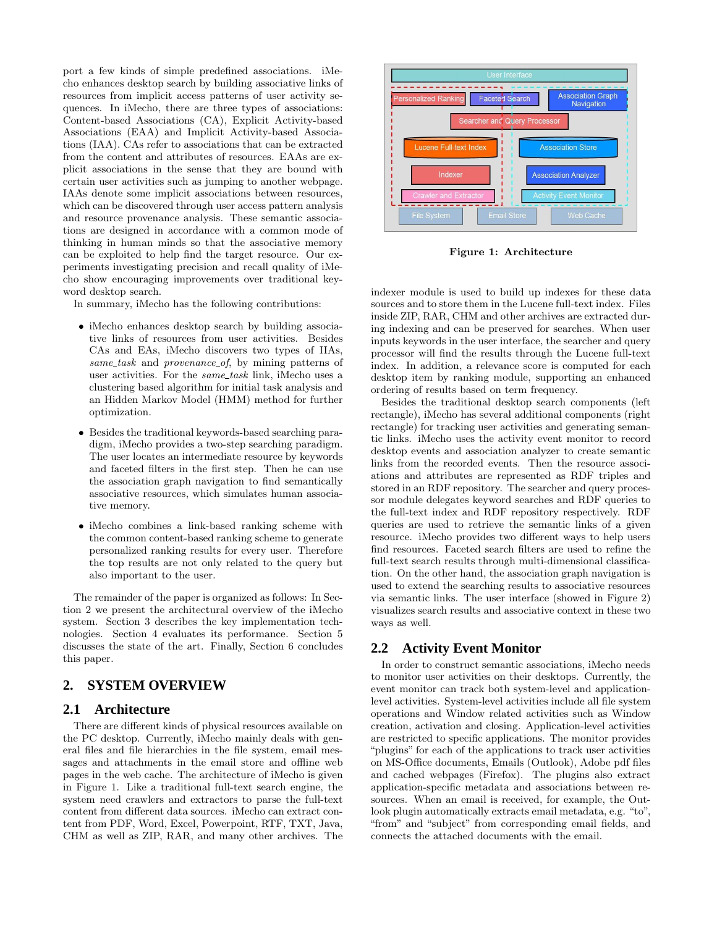port a few kinds of simple predefined associations. iMecho enhances desktop search by building associative links of resources from implicit access patterns of user activity sequences. In iMecho, there are three types of associations: Content-based Associations (CA), Explicit Activity-based Associations (EAA) and Implicit Activity-based Associations (IAA). CAs refer to associations that can be extracted from the content and attributes of resources. EAAs are explicit associations in the sense that they are bound with certain user activities such as jumping to another webpage. IAAs denote some implicit associations between resources, which can be discovered through user access pattern analysis and resource provenance analysis. These semantic associations are designed in accordance with a common mode of thinking in human minds so that the associative memory can be exploited to help find the target resource. Our experiments investigating precision and recall quality of iMecho show encouraging improvements over traditional keyword desktop search.

In summary, iMecho has the following contributions:

- iMecho enhances desktop search by building associative links of resources from user activities. Besides CAs and EAs, iMecho discovers two types of IIAs,  $same\_task$  and provenance of, by mining patterns of user activities. For the  $same\_task$  link, iMecho uses a clustering based algorithm for initial task analysis and an Hidden Markov Model (HMM) method for further optimization.
- Besides the traditional keywords-based searching paradigm, iMecho provides a two-step searching paradigm. The user locates an intermediate resource by keywords and faceted filters in the first step. Then he can use the association graph navigation to find semantically associative resources, which simulates human associative memory.
- iMecho combines a link-based ranking scheme with the common content-based ranking scheme to generate personalized ranking results for every user. Therefore the top results are not only related to the query but also important to the user.

The remainder of the paper is organized as follows: In Section 2 we present the architectural overview of the iMecho system. Section 3 describes the key implementation technologies. Section 4 evaluates its performance. Section 5 discusses the state of the art. Finally, Section 6 concludes this paper.

# **2. SYSTEM OVERVIEW**

## **2.1 Architecture**

There are different kinds of physical resources available on the PC desktop. Currently, iMecho mainly deals with general files and file hierarchies in the file system, email messages and attachments in the email store and offline web pages in the web cache. The architecture of iMecho is given in Figure 1. Like a traditional full-text search engine, the system need crawlers and extractors to parse the full-text content from different data sources. iMecho can extract content from PDF, Word, Excel, Powerpoint, RTF, TXT, Java, CHM as well as ZIP, RAR, and many other archives. The



Figure 1: Architecture

indexer module is used to build up indexes for these data sources and to store them in the Lucene full-text index. Files inside ZIP, RAR, CHM and other archives are extracted during indexing and can be preserved for searches. When user inputs keywords in the user interface, the searcher and query processor will find the results through the Lucene full-text index. In addition, a relevance score is computed for each desktop item by ranking module, supporting an enhanced ordering of results based on term frequency.

Besides the traditional desktop search components (left rectangle), iMecho has several additional components (right rectangle) for tracking user activities and generating semantic links. iMecho uses the activity event monitor to record desktop events and association analyzer to create semantic links from the recorded events. Then the resource associations and attributes are represented as RDF triples and stored in an RDF repository. The searcher and query processor module delegates keyword searches and RDF queries to the full-text index and RDF repository respectively. RDF queries are used to retrieve the semantic links of a given resource. iMecho provides two different ways to help users find resources. Faceted search filters are used to refine the full-text search results through multi-dimensional classification. On the other hand, the association graph navigation is used to extend the searching results to associative resources via semantic links. The user interface (showed in Figure 2) visualizes search results and associative context in these two ways as well.

## **2.2 Activity Event Monitor**

In order to construct semantic associations, iMecho needs to monitor user activities on their desktops. Currently, the event monitor can track both system-level and applicationlevel activities. System-level activities include all file system operations and Window related activities such as Window creation, activation and closing. Application-level activities are restricted to specific applications. The monitor provides "plugins" for each of the applications to track user activities on MS-Office documents, Emails (Outlook), Adobe pdf files and cached webpages (Firefox). The plugins also extract application-specific metadata and associations between resources. When an email is received, for example, the Outlook plugin automatically extracts email metadata, e.g. "to", "from" and "subject" from corresponding email fields, and connects the attached documents with the email.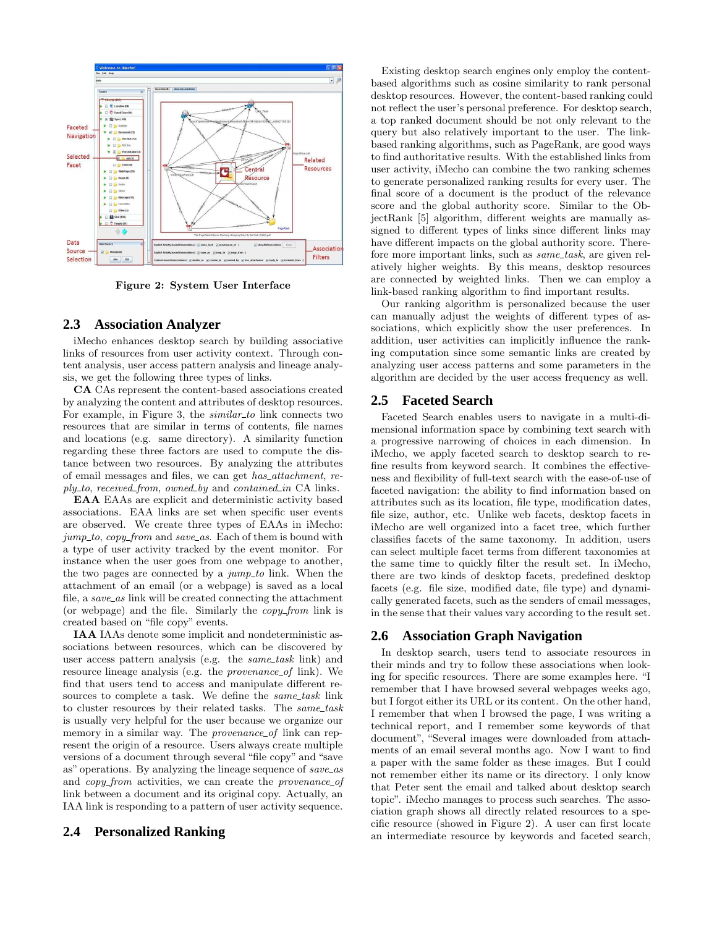

Figure 2: System User Interface

### **2.3 Association Analyzer**

iMecho enhances desktop search by building associative links of resources from user activity context. Through content analysis, user access pattern analysis and lineage analysis, we get the following three types of links.

CA CAs represent the content-based associations created by analyzing the content and attributes of desktop resources. For example, in Figure 3, the *similar\_to* link connects two resources that are similar in terms of contents, file names and locations (e.g. same directory). A similarity function regarding these three factors are used to compute the distance between two resources. By analyzing the attributes of email messages and files, we can get has attachment, re $ply\_to$ , received from, owned by and contained in CA links.

EAA EAAs are explicit and deterministic activity based associations. EAA links are set when specific user events are observed. We create three types of EAAs in iMecho:  $jump_to$ ,  $copy\_from$  and  $save\_as$ . Each of them is bound with a type of user activity tracked by the event monitor. For instance when the user goes from one webpage to another, the two pages are connected by a  $jump\_to$  link. When the attachment of an email (or a webpage) is saved as a local file, a  $save\_as$  link will be created connecting the attachment (or webpage) and the file. Similarly the copy from link is created based on "file copy" events.

IAA IAAs denote some implicit and nondeterministic associations between resources, which can be discovered by user access pattern analysis (e.g. the  $same\_task$  link) and resource lineage analysis (e.g. the *provenance* of link). We find that users tend to access and manipulate different resources to complete a task. We define the same\_task link to cluster resources by their related tasks. The same\_task is usually very helpful for the user because we organize our memory in a similar way. The *provenance* of link can represent the origin of a resource. Users always create multiple versions of a document through several "file copy" and "save as" operations. By analyzing the lineage sequence of save as and *copy\_from* activities, we can create the *provenance\_of* link between a document and its original copy. Actually, an IAA link is responding to a pattern of user activity sequence.

## **2.4 Personalized Ranking**

Existing desktop search engines only employ the contentbased algorithms such as cosine similarity to rank personal desktop resources. However, the content-based ranking could not reflect the user's personal preference. For desktop search, a top ranked document should be not only relevant to the query but also relatively important to the user. The linkbased ranking algorithms, such as PageRank, are good ways to find authoritative results. With the established links from user activity, iMecho can combine the two ranking schemes to generate personalized ranking results for every user. The final score of a document is the product of the relevance score and the global authority score. Similar to the ObjectRank [5] algorithm, different weights are manually assigned to different types of links since different links may have different impacts on the global authority score. Therefore more important links, such as *same\_task*, are given relatively higher weights. By this means, desktop resources are connected by weighted links. Then we can employ a link-based ranking algorithm to find important results.

Our ranking algorithm is personalized because the user can manually adjust the weights of different types of associations, which explicitly show the user preferences. In addition, user activities can implicitly influence the ranking computation since some semantic links are created by analyzing user access patterns and some parameters in the algorithm are decided by the user access frequency as well.

## **2.5 Faceted Search**

Faceted Search enables users to navigate in a multi-dimensional information space by combining text search with a progressive narrowing of choices in each dimension. In iMecho, we apply faceted search to desktop search to refine results from keyword search. It combines the effectiveness and flexibility of full-text search with the ease-of-use of faceted navigation: the ability to find information based on attributes such as its location, file type, modification dates, file size, author, etc. Unlike web facets, desktop facets in iMecho are well organized into a facet tree, which further classifies facets of the same taxonomy. In addition, users can select multiple facet terms from different taxonomies at the same time to quickly filter the result set. In iMecho, there are two kinds of desktop facets, predefined desktop facets (e.g. file size, modified date, file type) and dynamically generated facets, such as the senders of email messages, in the sense that their values vary according to the result set.

## **2.6 Association Graph Navigation**

In desktop search, users tend to associate resources in their minds and try to follow these associations when looking for specific resources. There are some examples here. "I remember that I have browsed several webpages weeks ago, but I forgot either its URL or its content. On the other hand, I remember that when I browsed the page, I was writing a technical report, and I remember some keywords of that document", "Several images were downloaded from attachments of an email several months ago. Now I want to find a paper with the same folder as these images. But I could not remember either its name or its directory. I only know that Peter sent the email and talked about desktop search topic". iMecho manages to process such searches. The association graph shows all directly related resources to a specific resource (showed in Figure 2). A user can first locate an intermediate resource by keywords and faceted search,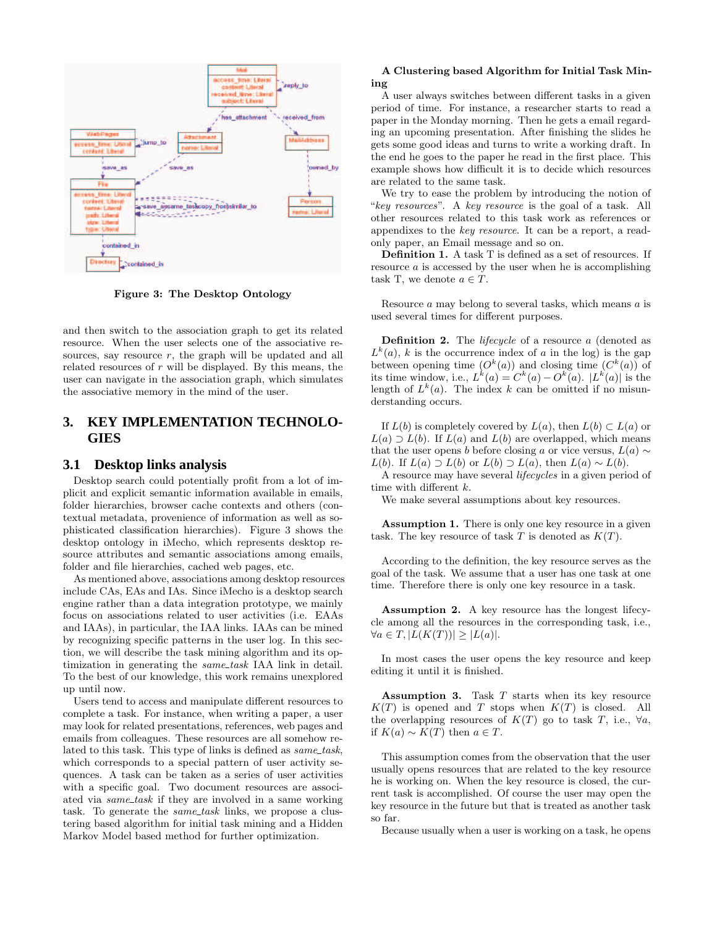

Figure 3: The Desktop Ontology

and then switch to the association graph to get its related resource. When the user selects one of the associative resources, say resource  $r$ , the graph will be updated and all related resources of  $r$  will be displayed. By this means, the user can navigate in the association graph, which simulates the associative memory in the mind of the user.

# **3. KEY IMPLEMENTATION TECHNOLO-GIES**

#### **3.1 Desktop links analysis**

Desktop search could potentially profit from a lot of implicit and explicit semantic information available in emails, folder hierarchies, browser cache contexts and others (contextual metadata, provenience of information as well as sophisticated classification hierarchies). Figure 3 shows the desktop ontology in iMecho, which represents desktop resource attributes and semantic associations among emails, folder and file hierarchies, cached web pages, etc.

As mentioned above, associations among desktop resources include CAs, EAs and IAs. Since iMecho is a desktop search engine rather than a data integration prototype, we mainly focus on associations related to user activities (i.e. EAAs and IAAs), in particular, the IAA links. IAAs can be mined by recognizing specific patterns in the user log. In this section, we will describe the task mining algorithm and its optimization in generating the *same\_task* IAA link in detail. To the best of our knowledge, this work remains unexplored up until now.

Users tend to access and manipulate different resources to complete a task. For instance, when writing a paper, a user may look for related presentations, references, web pages and emails from colleagues. These resources are all somehow related to this task. This type of links is defined as *same\_task*, which corresponds to a special pattern of user activity sequences. A task can be taken as a series of user activities with a specific goal. Two document resources are associated via same\_task if they are involved in a same working task. To generate the *same\_task* links, we propose a clustering based algorithm for initial task mining and a Hidden Markov Model based method for further optimization.

#### A Clustering based Algorithm for Initial Task Mining

A user always switches between different tasks in a given period of time. For instance, a researcher starts to read a paper in the Monday morning. Then he gets a email regarding an upcoming presentation. After finishing the slides he gets some good ideas and turns to write a working draft. In the end he goes to the paper he read in the first place. This example shows how difficult it is to decide which resources are related to the same task.

We try to ease the problem by introducing the notion of "key resources". A key resource is the goal of a task. All other resources related to this task work as references or appendixes to the key resource. It can be a report, a readonly paper, an Email message and so on.

Definition 1. A task T is defined as a set of resources. If resource a is accessed by the user when he is accomplishing task T, we denote  $a \in T$ .

Resource  $a$  may belong to several tasks, which means  $a$  is used several times for different purposes.

**Definition 2.** The *lifecycle* of a resource  $a$  (denoted as  $L^{k}(a)$ , k is the occurrence index of a in the log) is the gap between opening time  $(O^k(a))$  and closing time  $(C^k(a))$  of its time window, i.e.,  $L^k(a) = C^k(a) - O^k(a)$ .  $|L^k(a)|$  is the length of  $L^k(a)$ . The index k can be omitted if no misunderstanding occurs.

If  $L(b)$  is completely covered by  $L(a)$ , then  $L(b) \subset L(a)$  or  $L(a) \supset L(b)$ . If  $L(a)$  and  $L(b)$  are overlapped, which means that the user opens b before closing a or vice versus,  $L(a) \sim$ *L*(*b*). If *L*(*a*) ⊃ *L*(*b*) or *L*(*b*) ⊃ *L*(*a*), then *L*(*a*) ∼ *L*(*b*).

A resource may have several *lifecycles* in a given period of time with different k.

We make several assumptions about key resources.

Assumption 1. There is only one key resource in a given task. The key resource of task T is denoted as  $K(T)$ .

According to the definition, the key resource serves as the goal of the task. We assume that a user has one task at one time. Therefore there is only one key resource in a task.

Assumption 2. A key resource has the longest lifecycle among all the resources in the corresponding task, i.e.,  $\forall a \in T, |L(K(T))| \geq |L(a)|.$ 

In most cases the user opens the key resource and keep editing it until it is finished.

**Assumption 3.** Task  $T$  starts when its key resource  $K(T)$  is opened and T stops when  $K(T)$  is closed. All the overlapping resources of  $K(T)$  go to task T, i.e.,  $\forall a$ , if  $K(a) \sim K(T)$  then  $a \in T$ .

This assumption comes from the observation that the user usually opens resources that are related to the key resource he is working on. When the key resource is closed, the current task is accomplished. Of course the user may open the key resource in the future but that is treated as another task so far.

Because usually when a user is working on a task, he opens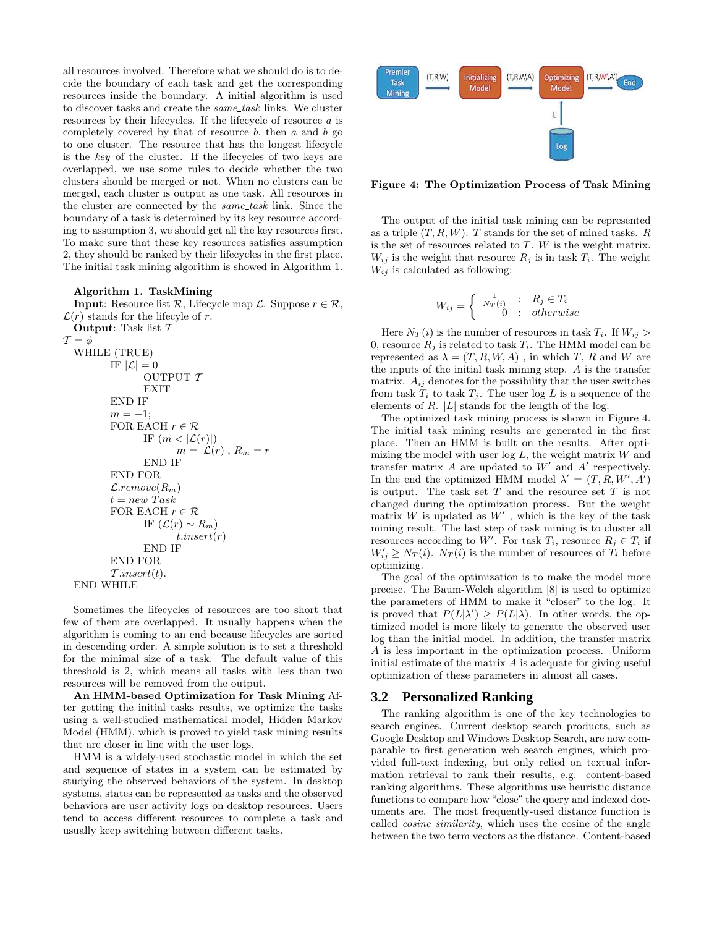all resources involved. Therefore what we should do is to decide the boundary of each task and get the corresponding resources inside the boundary. A initial algorithm is used to discover tasks and create the same\_task links. We cluster resources by their lifecycles. If the lifecycle of resource a is completely covered by that of resource  $b$ , then  $a$  and  $b$  go to one cluster. The resource that has the longest lifecycle is the key of the cluster. If the lifecycles of two keys are overlapped, we use some rules to decide whether the two clusters should be merged or not. When no clusters can be merged, each cluster is output as one task. All resources in the cluster are connected by the same\_task link. Since the boundary of a task is determined by its key resource according to assumption 3, we should get all the key resources first. To make sure that these key resources satisfies assumption 2, they should be ranked by their lifecycles in the first place. The initial task mining algorithm is showed in Algorithm 1.

#### Algorithm 1. TaskMining

**Input:** Resource list  $\mathcal{R}$ , Lifecycle map  $\mathcal{L}$ . Suppose  $r \in \mathcal{R}$ ,  $\mathcal{L}(r)$  stands for the lifecyle of r. Output: Task list T

```
\mathcal{T} = \phiWHILE (TRUE)
IF |\mathcal{L}| = 0OUTPUT TEXIT
 END IF
 m = -1;
 FOR EACH r \in \mathcal{R}IF (m < |\mathcal{L}(r)|)m = |\mathcal{L}(r)|, R_m = rEND IF
 END FOR
 \mathcal{L}.remove(R_m)t = new Task
 FOR EACH r \in \mathcal{R}IF (\mathcal{L}(r) \sim R_m)t.insert(r)END IF
 END FOR
 \mathcal{T}.insert(t).END WHILE
```
Sometimes the lifecycles of resources are too short that few of them are overlapped. It usually happens when the algorithm is coming to an end because lifecycles are sorted in descending order. A simple solution is to set a threshold for the minimal size of a task. The default value of this threshold is 2, which means all tasks with less than two resources will be removed from the output.

An HMM-based Optimization for Task Mining After getting the initial tasks results, we optimize the tasks using a well-studied mathematical model, Hidden Markov Model (HMM), which is proved to yield task mining results that are closer in line with the user logs.

HMM is a widely-used stochastic model in which the set and sequence of states in a system can be estimated by studying the observed behaviors of the system. In desktop systems, states can be represented as tasks and the observed behaviors are user activity logs on desktop resources. Users tend to access different resources to complete a task and usually keep switching between different tasks.



Figure 4: The Optimization Process of Task Mining

The output of the initial task mining can be represented as a triple  $(T, R, W)$ . T stands for the set of mined tasks. R is the set of resources related to  $T$ .  $W$  is the weight matrix.  $W_{ij}$  is the weight that resource  $R_j$  is in task  $T_i$ . The weight  $W_{ij}$  is calculated as following:

$$
W_{ij} = \left\{ \begin{array}{rcl} \frac{1}{N_T(i)} & : & R_j \in T_i \\ 0 & : & otherwise \end{array} \right.
$$

Here  $N_T(i)$  is the number of resources in task  $T_i$ . If  $W_{ij} >$ 0, resource  $R_j$  is related to task  $T_i$ . The HMM model can be represented as  $\lambda = (T, R, W, A)$ , in which T, R and W are the inputs of the initial task mining step. A is the transfer matrix.  $A_{ij}$  denotes for the possibility that the user switches from task  $T_i$  to task  $T_j$ . The user log L is a sequence of the elements of  $R$ .  $|L|$  stands for the length of the log.

The optimized task mining process is shown in Figure 4. The initial task mining results are generated in the first place. Then an HMM is built on the results. After optimizing the model with user  $log L$ , the weight matrix  $W$  and transfer matrix  $A$  are updated to  $W'$  and  $A'$  respectively. In the end the optimized HMM model  $\lambda' = (T, R, W', A')$ is output. The task set  $T$  and the resource set  $T$  is not changed during the optimization process. But the weight matrix  $W$  is updated as  $W'$ , which is the key of the task mining result. The last step of task mining is to cluster all resources according to W'. For task  $T_i$ , resource  $R_j \in T_i$  if  $W'_{ij} \geq N_T(i)$ .  $N_T(i)$  is the number of resources of  $T_i$  before optimizing.

The goal of the optimization is to make the model more precise. The Baum-Welch algorithm [8] is used to optimize the parameters of HMM to make it "closer" to the log. It is proved that  $P(L|\lambda') \ge P(L|\lambda)$ . In other words, the optimized model is more likely to generate the observed user log than the initial model. In addition, the transfer matrix A is less important in the optimization process. Uniform initial estimate of the matrix  $A$  is adequate for giving useful optimization of these parameters in almost all cases.

#### **3.2 Personalized Ranking**

The ranking algorithm is one of the key technologies to search engines. Current desktop search products, such as Google Desktop and Windows Desktop Search, are now comparable to first generation web search engines, which provided full-text indexing, but only relied on textual information retrieval to rank their results, e.g. content-based ranking algorithms. These algorithms use heuristic distance functions to compare how "close" the query and indexed documents are. The most frequently-used distance function is called cosine similarity, which uses the cosine of the angle between the two term vectors as the distance. Content-based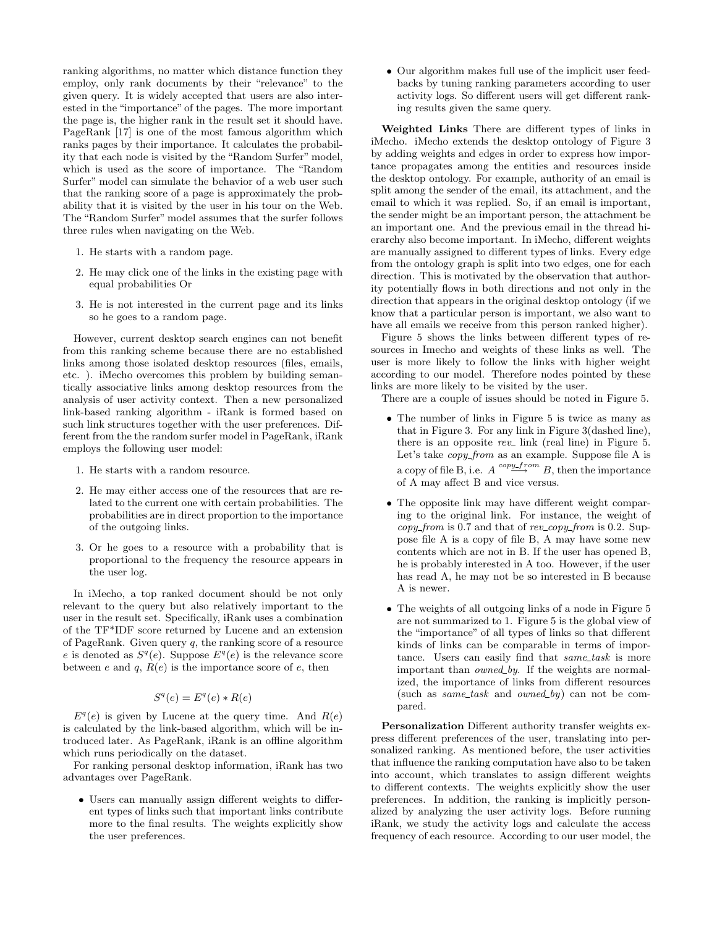ranking algorithms, no matter which distance function they employ, only rank documents by their "relevance" to the given query. It is widely accepted that users are also interested in the "importance" of the pages. The more important the page is, the higher rank in the result set it should have. PageRank [17] is one of the most famous algorithm which ranks pages by their importance. It calculates the probability that each node is visited by the "Random Surfer" model, which is used as the score of importance. The "Random Surfer" model can simulate the behavior of a web user such that the ranking score of a page is approximately the probability that it is visited by the user in his tour on the Web. The "Random Surfer" model assumes that the surfer follows three rules when navigating on the Web.

- 1. He starts with a random page.
- 2. He may click one of the links in the existing page with equal probabilities Or
- 3. He is not interested in the current page and its links so he goes to a random page.

However, current desktop search engines can not benefit from this ranking scheme because there are no established links among those isolated desktop resources (files, emails, etc. ). iMecho overcomes this problem by building semantically associative links among desktop resources from the analysis of user activity context. Then a new personalized link-based ranking algorithm - iRank is formed based on such link structures together with the user preferences. Different from the the random surfer model in PageRank, iRank employs the following user model:

- 1. He starts with a random resource.
- 2. He may either access one of the resources that are related to the current one with certain probabilities. The probabilities are in direct proportion to the importance of the outgoing links.
- 3. Or he goes to a resource with a probability that is proportional to the frequency the resource appears in the user log.

In iMecho, a top ranked document should be not only relevant to the query but also relatively important to the user in the result set. Specifically, iRank uses a combination of the TF\*IDF score returned by Lucene and an extension of PageRank. Given query  $q$ , the ranking score of a resource e is denoted as  $S<sup>q</sup>(e)$ . Suppose  $E<sup>q</sup>(e)$  is the relevance score between e and q,  $R(e)$  is the importance score of e, then

$$
S^q(e) = E^q(e) * R(e)
$$

 $E<sup>q</sup>(e)$  is given by Lucene at the query time. And  $R(e)$ is calculated by the link-based algorithm, which will be introduced later. As PageRank, iRank is an offline algorithm which runs periodically on the dataset.

For ranking personal desktop information, iRank has two advantages over PageRank.

• Users can manually assign different weights to different types of links such that important links contribute more to the final results. The weights explicitly show the user preferences.

• Our algorithm makes full use of the implicit user feedbacks by tuning ranking parameters according to user activity logs. So different users will get different ranking results given the same query.

Weighted Links There are different types of links in iMecho. iMecho extends the desktop ontology of Figure 3 by adding weights and edges in order to express how importance propagates among the entities and resources inside the desktop ontology. For example, authority of an email is split among the sender of the email, its attachment, and the email to which it was replied. So, if an email is important, the sender might be an important person, the attachment be an important one. And the previous email in the thread hierarchy also become important. In iMecho, different weights are manually assigned to different types of links. Every edge from the ontology graph is split into two edges, one for each direction. This is motivated by the observation that authority potentially flows in both directions and not only in the direction that appears in the original desktop ontology (if we know that a particular person is important, we also want to have all emails we receive from this person ranked higher).

Figure 5 shows the links between different types of resources in Imecho and weights of these links as well. The user is more likely to follow the links with higher weight according to our model. Therefore nodes pointed by these links are more likely to be visited by the user.

There are a couple of issues should be noted in Figure 5.

- The number of links in Figure 5 is twice as many as that in Figure 3. For any link in Figure 3(dashed line), there is an opposite  $rev_{-}$  link (real line) in Figure 5. Let's take  $copy\_from$  as an example. Suppose file A is a copy of file B, i.e.  $A \stackrel{copy\_from}{\longrightarrow} B$ , then the importance of A may affect B and vice versus.
- The opposite link may have different weight comparing to the original link. For instance, the weight of  $copy\_from$  is 0.7 and that of rev\_copy\_from is 0.2. Suppose file A is a copy of file B, A may have some new contents which are not in B. If the user has opened B, he is probably interested in A too. However, if the user has read A, he may not be so interested in B because A is newer.
- The weights of all outgoing links of a node in Figure 5 are not summarized to 1. Figure 5 is the global view of the "importance" of all types of links so that different kinds of links can be comparable in terms of importance. Users can easily find that same\_task is more important than *owned\_by*. If the weights are normalized, the importance of links from different resources (such as *same\_task* and *owned\_by*) can not be compared.

Personalization Different authority transfer weights express different preferences of the user, translating into personalized ranking. As mentioned before, the user activities that influence the ranking computation have also to be taken into account, which translates to assign different weights to different contexts. The weights explicitly show the user preferences. In addition, the ranking is implicitly personalized by analyzing the user activity logs. Before running iRank, we study the activity logs and calculate the access frequency of each resource. According to our user model, the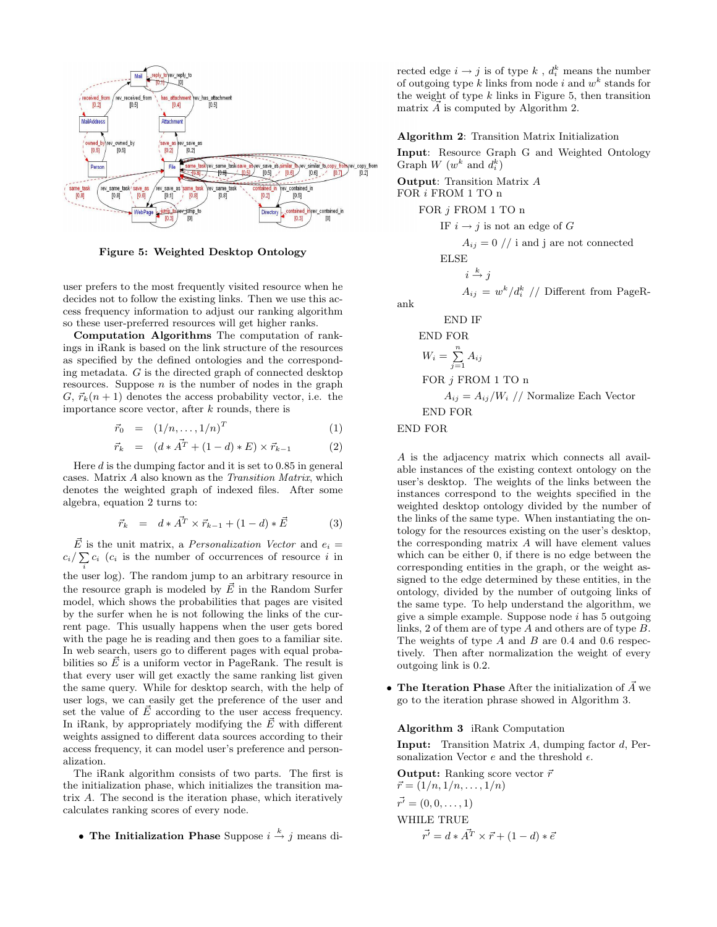

Figure 5: Weighted Desktop Ontology

user prefers to the most frequently visited resource when he decides not to follow the existing links. Then we use this access frequency information to adjust our ranking algorithm so these user-preferred resources will get higher ranks.

Computation Algorithms The computation of rankings in iRank is based on the link structure of the resources as specified by the defined ontologies and the corresponding metadata. G is the directed graph of connected desktop resources. Suppose  $n$  is the number of nodes in the graph  $G, \, \vec{r}_k(n+1)$  denotes the access probability vector, i.e. the importance score vector, after  $k$  rounds, there is

$$
\vec{r}_0 = (1/n, \dots, 1/n)^T \tag{1}
$$

$$
\vec{r}_k = (d * \vec{A}^T + (1 - d) * E) \times \vec{r}_{k-1}
$$
 (2)

Here  $d$  is the dumping factor and it is set to 0.85 in general cases. Matrix A also known as the Transition Matrix, which denotes the weighted graph of indexed files. After some algebra, equation 2 turns to:

$$
\vec{r}_k = d * \vec{A}^T \times \vec{r}_{k-1} + (1 - d) * \vec{E}
$$
 (3)

 $\vec{E}$  is the unit matrix, a *Personalization Vector* and  $e_i =$ 

the user log). The random jump to an arbitrary resource in the resource graph is modeled by  $\vec{E}$  in the Random Surfer model, which shows the probabilities that pages are visited by the surfer when he is not following the links of the current page. This usually happens when the user gets bored with the page he is reading and then goes to a familiar site. In web search, users go to different pages with equal probabilities so  $\vec{E}$  is a uniform vector in PageRank. The result is that every user will get exactly the same ranking list given the same query. While for desktop search, with the help of user logs, we can easily get the preference of the user and set the value of  $\vec{E}$  according to the user access frequency. In iRank, by appropriately modifying the  $\vec{E}$  with different weights assigned to different data sources according to their access frequency, it can model user's preference and personalization.

The iRank algorithm consists of two parts. The first is the initialization phase, which initializes the transition matrix A. The second is the iteration phase, which iteratively calculates ranking scores of every node.

• The Initialization Phase Suppose  $i \stackrel{k}{\rightarrow} j$  means di-

rected edge  $i \to j$  is of type  $k$ ,  $d_i^k$  means the number of outgoing type k links from node i and  $w^k$  stands for the weight of type  $k$  links in Figure 5, then transition matrix  $\vec{A}$  is computed by Algorithm 2.

Algorithm 2: Transition Matrix Initialization

Input: Resource Graph G and Weighted Ontology Graph  $W(w^k \text{ and } d_i^k)$ 

Output: Transition Matrix A FOR i FROM 1 TO n FOR j FROM 1 TO n

IF 
$$
i \rightarrow j
$$
 is not an edge of  $G$   
\n $A_{ij} = 0 \ //$  i and j are not connected  
\nELSE  
\n $i \stackrel{k}{\rightarrow} j$   
\n $A_{ij} = w^k / d_i^k //$  Different from PageR-

ank

END IF  
\nEND FOR  
\n
$$
W_i = \sum_{j=1}^{n} A_{ij}
$$
\nFOR *j* FROM 1 TO n  
\n
$$
A_{ij} = A_{ij}/W_i / / \text{ Normalize Each Vector}
$$
\nEND FOR

END FOR

 $c_i/\sum_i c_i$  ( $c_i$  is the number of occurrences of resource i in which can be either 0, if there is no edge between the corresponding entities in the graph, or the weight as-A is the adjacency matrix which connects all available instances of the existing context ontology on the user's desktop. The weights of the links between the instances correspond to the weights specified in the weighted desktop ontology divided by the number of the links of the same type. When instantiating the ontology for the resources existing on the user's desktop, the corresponding matrix A will have element values which can be either 0, if there is no edge between the corresponding entities in the graph, or the weight assigned to the edge determined by these entities, in the ontology, divided by the number of outgoing links of the same type. To help understand the algorithm, we give a simple example. Suppose node  $i$  has  $5$  outgoing links, 2 of them are of type A and others are of type B. The weights of type  $A$  and  $B$  are 0.4 and 0.6 respectively. Then after normalization the weight of every outgoing link is 0.2.

> $\bullet~$  The Iteration Phase After the initialization of  $\vec{A}$  we go to the iteration phrase showed in Algorithm 3.

#### Algorithm 3 iRank Computation

Input: Transition Matrix A, dumping factor d, Personalization Vector  $e$  and the threshold  $\epsilon$ .

**Output:** Ranking score vector  $\vec{r}$  $\vec{r} = (1/n, 1/n, \ldots, 1/n)$  $\vec{r'} = (0, 0, \ldots, 1)$ WHILE TRUE  $\vec{r'} = d * \vec{A}^T \times \vec{r} + (1 - d) * \vec{e}$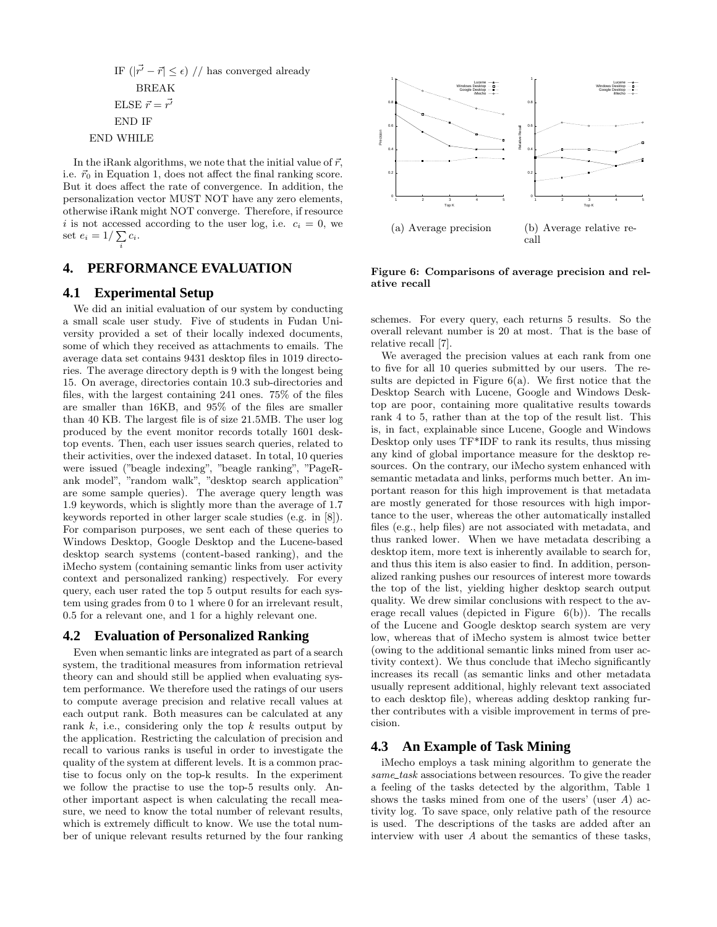IF (
$$
|\vec{r'} - \vec{r}| \le \epsilon
$$
) // has converged already  
BREAK  
ELSE  $\vec{r} = \vec{r'}$   
END IF  
D WHICH

In the iRank algorithms, we note that the initial value of  $\vec{r}$ , i.e.  $\vec{r}_0$  in Equation 1, does not affect the final ranking score. But it does affect the rate of convergence. In addition, the personalization vector MUST NOT have any zero elements, otherwise iRank might NOT converge. Therefore, if resource i is not accessed according to the user log, i.e.  $c_i = 0$ , we i set  $e_i = 1/\sum c_i$ .

# **4. PERFORMANCE EVALUATION**

## **4.1 Experimental Setup**

EN<sub>D</sub>

We did an initial evaluation of our system by conducting a small scale user study. Five of students in Fudan University provided a set of their locally indexed documents, some of which they received as attachments to emails. The average data set contains 9431 desktop files in 1019 directories. The average directory depth is 9 with the longest being 15. On average, directories contain 10.3 sub-directories and files, with the largest containing 241 ones. 75% of the files are smaller than 16KB, and 95% of the files are smaller than 40 KB. The largest file is of size 21.5MB. The user log produced by the event monitor records totally 1601 desktop events. Then, each user issues search queries, related to their activities, over the indexed dataset. In total, 10 queries were issued ("beagle indexing", "beagle ranking", "PageRank model", "random walk", "desktop search application" are some sample queries). The average query length was 1.9 keywords, which is slightly more than the average of 1.7 keywords reported in other larger scale studies (e.g. in [8]). For comparison purposes, we sent each of these queries to Windows Desktop, Google Desktop and the Lucene-based desktop search systems (content-based ranking), and the iMecho system (containing semantic links from user activity context and personalized ranking) respectively. For every query, each user rated the top 5 output results for each system using grades from 0 to 1 where 0 for an irrelevant result, 0.5 for a relevant one, and 1 for a highly relevant one.

## **4.2 Evaluation of Personalized Ranking**

Even when semantic links are integrated as part of a search system, the traditional measures from information retrieval theory can and should still be applied when evaluating system performance. We therefore used the ratings of our users to compute average precision and relative recall values at each output rank. Both measures can be calculated at any rank  $k$ , i.e., considering only the top  $k$  results output by the application. Restricting the calculation of precision and recall to various ranks is useful in order to investigate the quality of the system at different levels. It is a common practise to focus only on the top-k results. In the experiment we follow the practise to use the top-5 results only. Another important aspect is when calculating the recall measure, we need to know the total number of relevant results, which is extremely difficult to know. We use the total number of unique relevant results returned by the four ranking



Figure 6: Comparisons of average precision and relative recall

schemes. For every query, each returns 5 results. So the overall relevant number is 20 at most. That is the base of relative recall [7].

We averaged the precision values at each rank from one to five for all 10 queries submitted by our users. The results are depicted in Figure 6(a). We first notice that the Desktop Search with Lucene, Google and Windows Desktop are poor, containing more qualitative results towards rank 4 to 5, rather than at the top of the result list. This is, in fact, explainable since Lucene, Google and Windows Desktop only uses TF\*IDF to rank its results, thus missing any kind of global importance measure for the desktop resources. On the contrary, our iMecho system enhanced with semantic metadata and links, performs much better. An important reason for this high improvement is that metadata are mostly generated for those resources with high importance to the user, whereas the other automatically installed files (e.g., help files) are not associated with metadata, and thus ranked lower. When we have metadata describing a desktop item, more text is inherently available to search for, and thus this item is also easier to find. In addition, personalized ranking pushes our resources of interest more towards the top of the list, yielding higher desktop search output quality. We drew similar conclusions with respect to the average recall values (depicted in Figure 6(b)). The recalls of the Lucene and Google desktop search system are very low, whereas that of iMecho system is almost twice better (owing to the additional semantic links mined from user activity context). We thus conclude that iMecho significantly increases its recall (as semantic links and other metadata usually represent additional, highly relevant text associated to each desktop file), whereas adding desktop ranking further contributes with a visible improvement in terms of precision.

# **4.3 An Example of Task Mining**

iMecho employs a task mining algorithm to generate the same\_task associations between resources. To give the reader a feeling of the tasks detected by the algorithm, Table 1 shows the tasks mined from one of the users' (user  $A$ ) activity log. To save space, only relative path of the resource is used. The descriptions of the tasks are added after an interview with user  $A$  about the semantics of these tasks,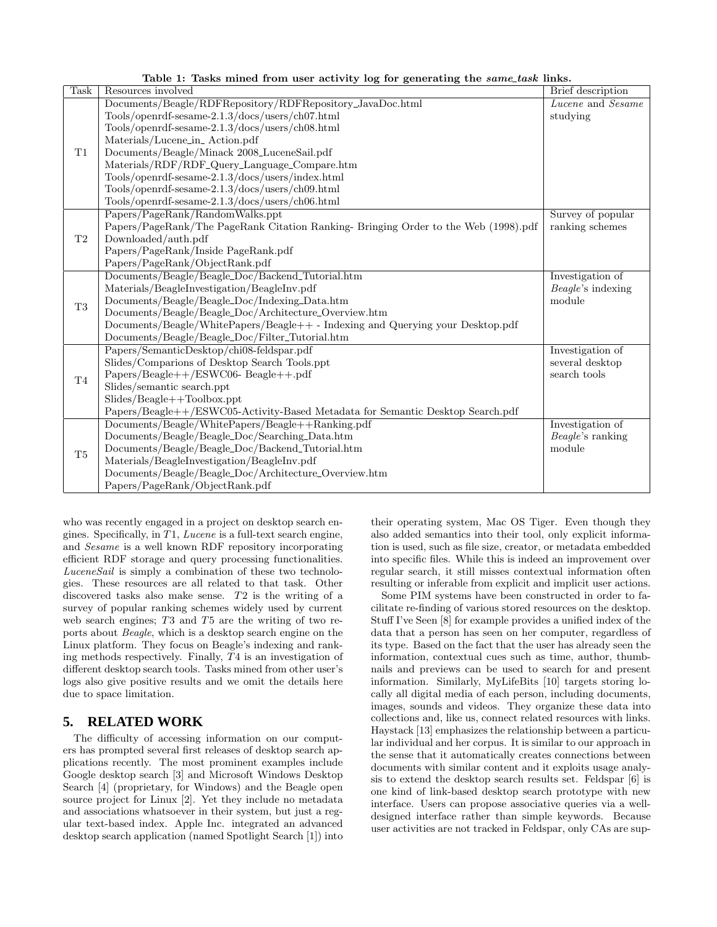Table 1: Tasks mined from user activity log for generating the same task links.

| Lable 1. Lasks inflied from user activity fog for generating the sume task finks. |                                                                                    |                          |
|-----------------------------------------------------------------------------------|------------------------------------------------------------------------------------|--------------------------|
| Task                                                                              | Resources involved                                                                 | Brief description        |
| T1                                                                                | Documents/Beagle/RDFRepository/RDFRepository_JavaDoc.html                          | Lucene and Sesame        |
|                                                                                   | Tools/openrdf-sesame-2.1.3/docs/users/ch07.html                                    | studying                 |
|                                                                                   | Tools/openrdf-sesame-2.1.3/docs/users/ch08.html                                    |                          |
|                                                                                   | Materials/Lucene_in_ Action.pdf                                                    |                          |
|                                                                                   | $\label{eq:loc} \text{Documents}/\text{Beagle}/\text{Minack 2008\_LuceneSail.pdf}$ |                          |
|                                                                                   | Materials/RDF/RDF_Query_Language_Compare.htm                                       |                          |
|                                                                                   | Tools/openrdf-sesame-2.1.3/docs/users/index.html                                   |                          |
|                                                                                   | Tools/openrdf-sesame-2.1.3/docs/users/ch09.html                                    |                          |
|                                                                                   | Tools/openrdf-sesame-2.1.3/docs/users/ch06.html                                    |                          |
| $\mathrm{T}2$                                                                     | Papers/PageRank/RandomWalks.ppt                                                    | Survey of popular        |
|                                                                                   | Papers/PageRank/The PageRank Citation Ranking-Bringing Order to the Web (1998).pdf | ranking schemes          |
|                                                                                   | Downloaded/auth.pdf                                                                |                          |
|                                                                                   | Papers/PageRank/Inside PageRank.pdf                                                |                          |
|                                                                                   | Papers/PageRank/ObjectRank.pdf                                                     |                          |
| T <sub>3</sub>                                                                    | Documents/Beagle/Beagle_Doc/Backend_Tutorial.htm                                   | Investigation of         |
|                                                                                   | Materials/BeagleInvestigation/BeagleInv.pdf                                        | <i>Beagle's</i> indexing |
|                                                                                   | Documents/Beagle/Beagle_Doc/Indexing_Data.htm                                      | module                   |
|                                                                                   | Documents/Beagle/Beagle_Doc/Architecture_Overview.htm                              |                          |
|                                                                                   | Documents/Beagle/WhitePapers/Beagle++ - Indexing and Querying your Desktop.pdf     |                          |
|                                                                                   | Documents/Beagle/Beagle_Doc/Filter_Tutorial.htm                                    |                          |
| T4                                                                                | Papers/SemanticDesktop/chi08-feldspar.pdf                                          | Investigation of         |
|                                                                                   | Slides/Comparions of Desktop Search Tools.ppt                                      | several desktop          |
|                                                                                   | Papers/Beagle++/ESWC06-Beagle++.pdf                                                | search tools             |
|                                                                                   | Slides/semantic search.ppt                                                         |                          |
|                                                                                   | $\textit{Slides}/\textit{Beagle}++\textit{Toolbox}.\textit{ppt}$                   |                          |
|                                                                                   | Papers/Beagle++/ESWC05-Activity-Based Metadata for Semantic Desktop Search.pdf     |                          |
| $\rm{T}5$                                                                         | Documents/Beagle/WhitePapers/Beagle++Ranking.pdf                                   | Investigation of         |
|                                                                                   | Documents/Beagle/Beagle_Doc/Searching_Data.htm                                     | <i>Beagle's</i> ranking  |
|                                                                                   | Documents/Beagle/Beagle_Doc/Backend_Tutorial.htm                                   | module                   |
|                                                                                   | Materials/BeagleInvestigation/BeagleInv.pdf                                        |                          |
|                                                                                   | Documents/Beagle/Beagle_Doc/Architecture_Overview.htm                              |                          |
|                                                                                   | Papers/PageRank/ObjectRank.pdf                                                     |                          |
|                                                                                   |                                                                                    |                          |

who was recently engaged in a project on desktop search engines. Specifically, in  $T1$ , *Lucene* is a full-text search engine, and Sesame is a well known RDF repository incorporating efficient RDF storage and query processing functionalities. LuceneSail is simply a combination of these two technologies. These resources are all related to that task. Other discovered tasks also make sense. T2 is the writing of a survey of popular ranking schemes widely used by current web search engines; T3 and T5 are the writing of two reports about Beagle, which is a desktop search engine on the Linux platform. They focus on Beagle's indexing and ranking methods respectively. Finally, T4 is an investigation of different desktop search tools. Tasks mined from other user's logs also give positive results and we omit the details here due to space limitation.

# **5. RELATED WORK**

The difficulty of accessing information on our computers has prompted several first releases of desktop search applications recently. The most prominent examples include Google desktop search [3] and Microsoft Windows Desktop Search [4] (proprietary, for Windows) and the Beagle open source project for Linux [2]. Yet they include no metadata and associations whatsoever in their system, but just a regular text-based index. Apple Inc. integrated an advanced desktop search application (named Spotlight Search [1]) into

their operating system, Mac OS Tiger. Even though they also added semantics into their tool, only explicit information is used, such as file size, creator, or metadata embedded into specific files. While this is indeed an improvement over regular search, it still misses contextual information often resulting or inferable from explicit and implicit user actions.

Some PIM systems have been constructed in order to facilitate re-finding of various stored resources on the desktop. Stuff I've Seen [8] for example provides a unified index of the data that a person has seen on her computer, regardless of its type. Based on the fact that the user has already seen the information, contextual cues such as time, author, thumbnails and previews can be used to search for and present information. Similarly, MyLifeBits [10] targets storing locally all digital media of each person, including documents, images, sounds and videos. They organize these data into collections and, like us, connect related resources with links. Haystack [13] emphasizes the relationship between a particular individual and her corpus. It is similar to our approach in the sense that it automatically creates connections between documents with similar content and it exploits usage analysis to extend the desktop search results set. Feldspar [6] is one kind of link-based desktop search prototype with new interface. Users can propose associative queries via a welldesigned interface rather than simple keywords. Because user activities are not tracked in Feldspar, only CAs are sup